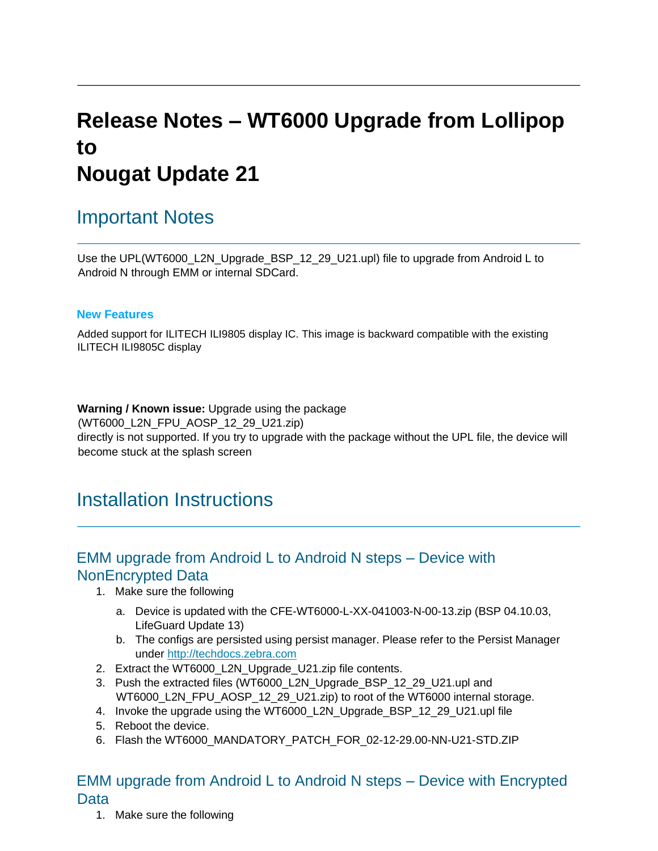# **Release Notes – WT6000 Upgrade from Lollipop to Nougat Update 21**

### Important Notes

Use the UPL(WT6000\_L2N\_Upgrade\_BSP\_12\_29\_U21.upl) file to upgrade from Android L to Android N through EMM or internal SDCard.

#### **New Features**

Added support for ILITECH ILI9805 display IC. This image is backward compatible with the existing ILITECH ILI9805C display

**Warning / Known issue:** Upgrade using the package (WT6000\_L2N\_FPU\_AOSP\_12\_29\_U21.zip) directly is not supported. If you try to upgrade with the package without the UPL file, the device will become stuck at the splash screen

### Installation Instructions

### EMM upgrade from Android L to Android N steps – Device with NonEncrypted Data

- 1. Make sure the following
	- a. Device is updated with the CFE-WT6000-L-XX-041003-N-00-13.zip (BSP 04.10.03, LifeGuard Update 13)
	- b. The configs are persisted using persist manager. Please refer to the Persist Manager under [http://techdocs.zebra.com](http://techdocs.zebra.com/)
- 2. Extract the WT6000\_L2N\_Upgrade\_U21.zip file contents.
- 3. Push the extracted files (WT6000\_L2N\_Upgrade\_BSP\_12\_29\_U21.upl and WT6000\_L2N\_FPU\_AOSP\_12\_29\_U21.zip) to root of the WT6000 internal storage.
- 4. Invoke the upgrade using the WT6000\_L2N\_Upgrade\_BSP\_12\_29\_U21.upl file
- 5. Reboot the device.
- 6. Flash the WT6000\_MANDATORY\_PATCH\_FOR\_02-12-29.00-NN-U21-STD.ZIP

### EMM upgrade from Android L to Android N steps – Device with Encrypted Data

1. Make sure the following